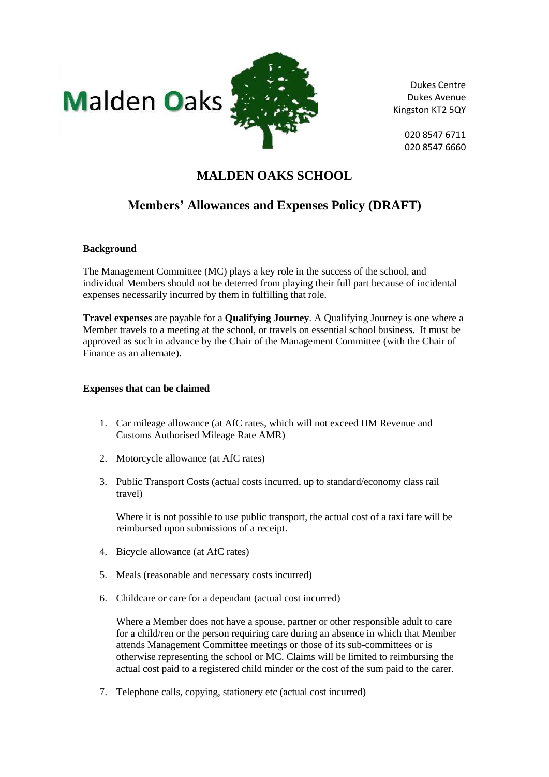



Dukes Centre Dukes Avenue Kingston KT2 5QY

> 020 8547 6711 020 8547 6660

## **MALDEN OAKS SCHOOL**

# **Members' Allowances and Expenses Policy (DRAFT)**

#### **Background**

The Management Committee (MC) plays a key role in the success of the school, and individual Members should not be deterred from playing their full part because of incidental expenses necessarily incurred by them in fulfilling that role.

**Travel expenses** are payable for a **Qualifying Journey**. A Qualifying Journey is one where a Member travels to a meeting at the school, or travels on essential school business. It must be approved as such in advance by the Chair of the Management Committee (with the Chair of Finance as an alternate).

#### **Expenses that can be claimed**

- 1. Car mileage allowance (at AfC rates, which will not exceed HM Revenue and Customs Authorised Mileage Rate AMR)
- 2. Motorcycle allowance (at AfC rates)
- 3. Public Transport Costs (actual costs incurred, up to standard/economy class rail travel)

Where it is not possible to use public transport, the actual cost of a taxi fare will be reimbursed upon submissions of a receipt.

- 4. Bicycle allowance (at AfC rates)
- 5. Meals (reasonable and necessary costs incurred)
- 6. Childcare or care for a dependant (actual cost incurred)

Where a Member does not have a spouse, partner or other responsible adult to care for a child/ren or the person requiring care during an absence in which that Member attends Management Committee meetings or those of its sub-committees or is otherwise representing the school or MC. Claims will be limited to reimbursing the actual cost paid to a registered child minder or the cost of the sum paid to the carer.

7. Telephone calls, copying, stationery etc (actual cost incurred)